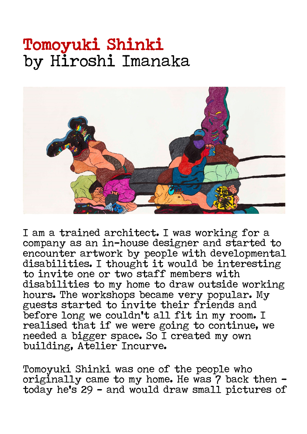## Tomoyuki Shinki by Hiroshi Imanaka



I am a trained architect. I was working for a company as an in-house designer and started to encounter artwork by people with developmental disabilities. I thought it would be interesting to invite one or two staff members with disabilities to my home to draw outside working hours. The workshops became very popular. My guests started to invite their friends and before long we couldn't all fit in my room. I realised that if we were going to continue, we needed a bigger space. So I created my own building, Atelier Incurve.

Tomoyuki Shinki was one of the people who originally came to my home. He was 7 back then today he's 29 – and would draw small pictures of